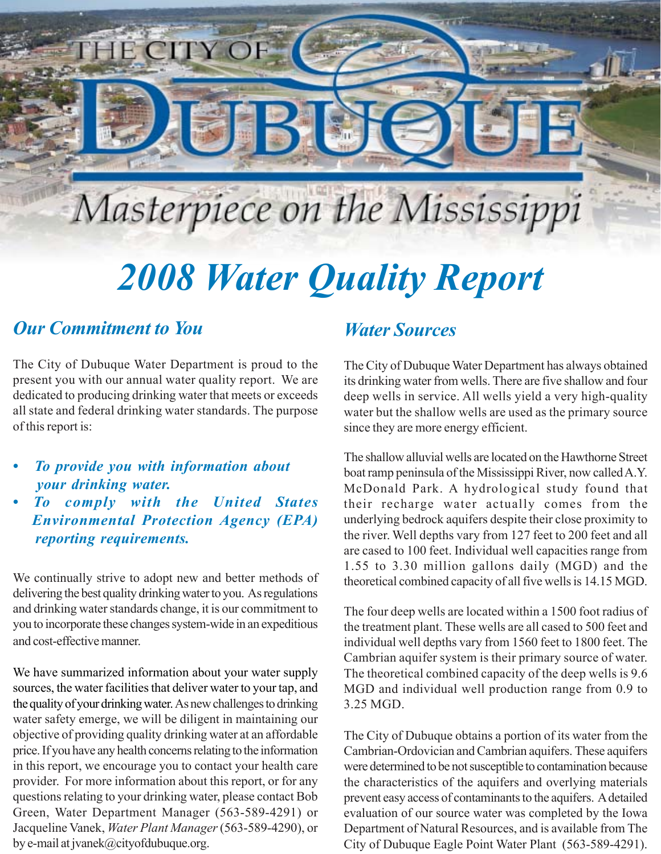# Masterpiece on the Mississippi

# *2008 Water Quality Report*

### *Our Commitment to You*

The City of Dubuque Water Department is proud to the present you with our annual water quality report. We are dedicated to producing drinking water that meets or exceeds all state and federal drinking water standards. The purpose of this report is:

**TITY OI** 

- *To provide you with information about your drinking water.*
- *To comply with the United States Environmental Protection Agency (EPA) reporting requirements.*

We continually strive to adopt new and better methods of delivering the best quality drinking water to you. As regulations and drinking water standards change, it is our commitment to you to incorporate these changes system-wide in an expeditious and cost-effective manner.

We have summarized information about your water supply sources, the water facilities that deliver water to your tap, and the quality of your drinking water. As new challenges to drinking water safety emerge, we will be diligent in maintaining our objective of providing quality drinking water at an affordable price. If you have any health concerns relating to the information in this report, we encourage you to contact your health care provider. For more information about this report, or for any questions relating to your drinking water, please contact Bob Green, Water Department Manager (563-589-4291) or Jacqueline Vanek, *Water Plant Manager* (563-589-4290), or by e-mail at jvanek@cityofdubuque.org.

### *Water Sources*

The City of Dubuque Water Department has always obtained its drinking water from wells. There are five shallow and four deep wells in service. All wells yield a very high-quality water but the shallow wells are used as the primary source since they are more energy efficient.

The shallow alluvial wells are located on the Hawthorne Street boat ramp peninsula of the Mississippi River, now called A.Y. McDonald Park. A hydrological study found that their recharge water actually comes from the underlying bedrock aquifers despite their close proximity to the river. Well depths vary from 127 feet to 200 feet and all are cased to 100 feet. Individual well capacities range from 1.55 to 3.30 million gallons daily (MGD) and the theoretical combined capacity of all five wells is 14.15 MGD.

The four deep wells are located within a 1500 foot radius of the treatment plant. These wells are all cased to 500 feet and individual well depths vary from 1560 feet to 1800 feet. The Cambrian aquifer system is their primary source of water. The theoretical combined capacity of the deep wells is 9.6 MGD and individual well production range from 0.9 to 3.25 MGD.

The City of Dubuque obtains a portion of its water from the Cambrian-Ordovician and Cambrian aquifers. These aquifers were determined to be not susceptible to contamination because the characteristics of the aquifers and overlying materials prevent easy access of contaminants to the aquifers. A detailed evaluation of our source water was completed by the Iowa Department of Natural Resources, and is available from The City of Dubuque Eagle Point Water Plant (563-589-4291).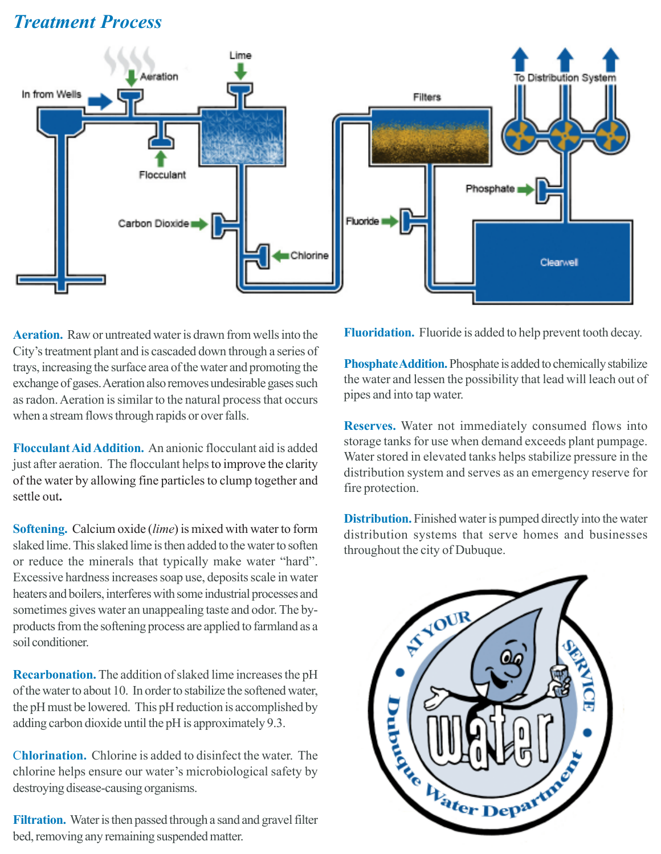# *Treatment Process*



**Aeration.** Raw or untreated water is drawn from wells into the City's treatment plant and is cascaded down through a series of trays, increasing the surface area of the water and promoting the exchange of gases. Aeration also removes undesirable gases such as radon. Aeration is similar to the natural process that occurs when a stream flows through rapids or over falls.

**Flocculant Aid Addition.** An anionic flocculant aid is added just after aeration. The flocculant helps to improve the clarity of the water by allowing fine particles to clump together and settle out**.**

**Softening.** Calcium oxide (*lime*) is mixed with water to form slaked lime. This slaked lime is then added to the water to soften or reduce the minerals that typically make water "hard". Excessive hardness increases soap use, deposits scale in water heaters and boilers, interferes with some industrial processes and sometimes gives water an unappealing taste and odor. The byproducts from the softening process are applied to farmland as a soil conditioner.

**Recarbonation.** The addition of slaked lime increases the pH of the water to about 10. In order to stabilize the softened water, the pH must be lowered. This pH reduction is accomplished by adding carbon dioxide until the pH is approximately 9.3.

C**hlorination.** Chlorine is added to disinfect the water. The chlorine helps ensure our water's microbiological safety by destroying disease-causing organisms.

**Filtration.** Water is then passed through a sand and gravel filter bed, removing any remaining suspended matter.

**Fluoridation.** Fluoride is added to help prevent tooth decay.

**Phosphate Addition.**Phosphate is added to chemically stabilize the water and lessen the possibility that lead will leach out of pipes and into tap water.

**Reserves.** Water not immediately consumed flows into storage tanks for use when demand exceeds plant pumpage. Water stored in elevated tanks helps stabilize pressure in the distribution system and serves as an emergency reserve for fire protection.

**Distribution.** Finished water is pumped directly into the water distribution systems that serve homes and businesses throughout the city of Dubuque.

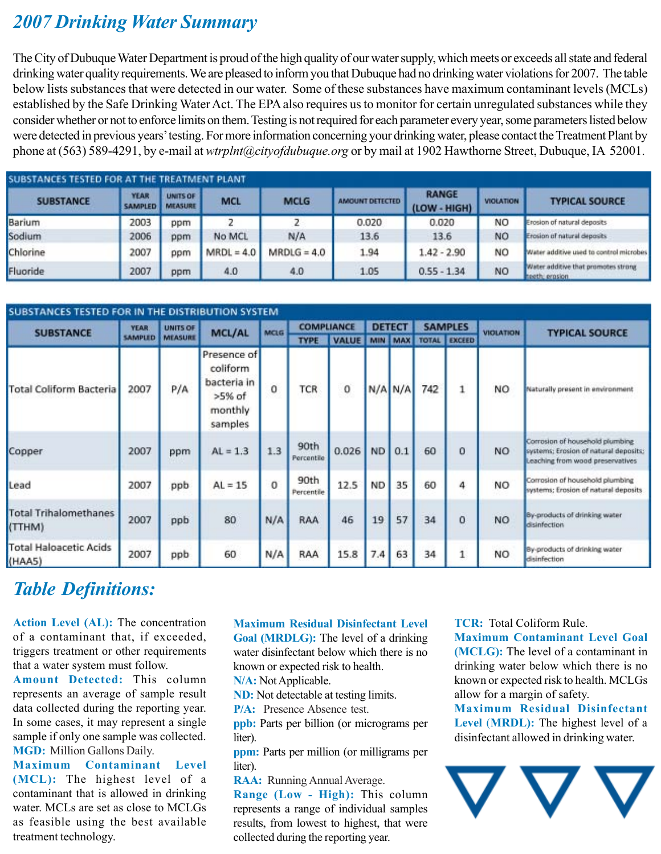## *2007 Drinking Water Summary*

The City of Dubuque Water Department is proud of the high quality of our water supply, which meets or exceeds all state and federal drinking water quality requirements. We are pleased to inform you that Dubuque had no drinking water violations for 2007. The table below lists substances that were detected in our water. Some of these substances have maximum contaminant levels (MCLs) established by the Safe Drinking Water Act. The EPA also requires us to monitor for certain unregulated substances while they consider whether or not to enforce limits on them. Testing is not required for each parameter every year, some parameters listed below were detected in previous years' testing. For more information concerning your drinking water, please contact the Treatment Plant by phone at (563) 589-4291, by e-mail at *wtrplnt@cityofdubuque.org* or by mail at 1902 Hawthorne Street, Dubuque, IA 52001.

| SUBSTANCES TESTED FOR AT THE TREATMENT PLANT |                               |                                   |              |               |                 |                              |                        |                                                       |  |
|----------------------------------------------|-------------------------------|-----------------------------------|--------------|---------------|-----------------|------------------------------|------------------------|-------------------------------------------------------|--|
| <b>SUBSTANCE</b>                             | <b>YEAR</b><br><b>SAMPLED</b> | <b>UNITS OF</b><br><b>MEASURE</b> | <b>MCL</b>   | <b>MCLG</b>   | AMOUNT DETECTED | <b>RANGE</b><br>(LOW - HIGH) | <b>VIOLATION</b><br>NO | <b>TYPICAL SOURCE</b><br>Erosion of natural deposits  |  |
| Barium                                       | 2003                          | ppm                               |              |               | 0.020           | 0.020                        |                        |                                                       |  |
| Sodium                                       | 2006                          | ppm                               | No MCL       | N/A           | 13.6            | 13.6                         | <b>NO</b>              | Erosion of natural deposits                           |  |
| Chlorine                                     | 2007                          | ppm                               | $MRDL = 4.0$ | $MRDLG = 4.0$ | 1.94            | $1.42 - 2.90$                | NO                     | Water additive used to control microbes               |  |
| Fluoride                                     | 2007                          | ppm                               | 4.0          | 4.0           | 1.05            | $0.55 - 1.34$                | NO                     | Water additive that promotes strong<br>meeth, erosion |  |

| <b>SUBSTA</b><br>CES TESTED FOR IN THE DISTRIBUTION SYSTEM |                               |                            |                                                                          |             |                    |              |               |         |                |                     |                  |                                                                                                              |
|------------------------------------------------------------|-------------------------------|----------------------------|--------------------------------------------------------------------------|-------------|--------------------|--------------|---------------|---------|----------------|---------------------|------------------|--------------------------------------------------------------------------------------------------------------|
| <b>SUBSTANCE</b>                                           | <b>YEAR</b><br><b>SAMPLED</b> | UNITS OF<br><b>MEASURE</b> | <b>MCL/AL</b>                                                            | <b>MCLG</b> | <b>COMPLIANCE</b>  |              | <b>DETECT</b> |         | <b>SAMPLES</b> |                     | <b>VIOLATION</b> | <b>TYPICAL SOURCE</b>                                                                                        |
|                                                            |                               |                            |                                                                          |             | <b>TYPE</b>        | <b>VALUE</b> | <b>MIN</b>    | MAX     |                | <b>TOTAL EXCEED</b> |                  |                                                                                                              |
| <b>Total Coliform Bacteria</b>                             | 2007                          | P/A                        | Presence of<br>coliform<br>bacteria in<br>$>5%$ of<br>monthly<br>samples | o           | TCR                | o            |               | N/A N/A | 742            |                     | NO               | Naturally present in environment                                                                             |
| Copper                                                     | 2007                          | ppm                        | $AL = 1.3$                                                               | 1.3         | 90th<br>Percentile | 0.026        | <b>ND</b>     | 0.1     | 60             | 0                   | NO.              | Corrosion of household plumbing<br>systems; Erosion of natural deposits;<br>Leaching from wood preservatives |
| Lead                                                       | 2007                          | ppb                        | $AL = 15$                                                                | 0           | 90th<br>Percentile | 12.5         | <b>ND</b>     | 35      | 60             | 4                   | NO.              | Corrosion of household plumbing<br>systems; Erosion of natural deposits                                      |
| <b>Total Trihalomethanes</b><br>(TTHM)                     | 2007                          | ppb                        | 80                                                                       | N/A         | RAA                | 46           | 19            | 57      | 34             | o                   | <b>NO</b>        | By-products of drinking water<br>disinfection                                                                |
| <b>Total Haloacetic Acids</b><br>(HAA5)                    | 2007                          | ppb                        | 60                                                                       | N/A         | RAA                | 15.8         | 7.4           | 63      | 34             |                     | NO.              | By products of drinking water<br>disinfection                                                                |

# *Table Definitions:*

**Action Level (AL):** The concentration of a contaminant that, if exceeded, triggers treatment or other requirements that a water system must follow.

**Amount Detected:** This column represents an average of sample result data collected during the reporting year. In some cases, it may represent a single sample if only one sample was collected. **MGD:** Million Gallons Daily.

**Maximum Contaminant Level (MCL):** The highest level of a contaminant that is allowed in drinking water. MCLs are set as close to MCLGs as feasible using the best available treatment technology.

#### **Maximum Residual Disinfectant Level**

**Goal (MRDLG):** The level of a drinking water disinfectant below which there is no known or expected risk to health.

**N/A:** Not Applicable.

**ND:** Not detectable at testing limits.

**P/A:** Presence Absence test.

**ppb:** Parts per billion (or micrograms per liter).

**ppm:** Parts per million (or milligrams per liter).

**RAA:** Running Annual Average. **Range (Low - High):** This column represents a range of individual samples results, from lowest to highest, that were collected during the reporting year.

#### **TCR:** Total Coliform Rule.

**Maximum Contaminant Level Goal (MCLG):** The level of a contaminant in drinking water below which there is no known or expected risk to health. MCLGs allow for a margin of safety.

**Maximum Residual Disinfectant Level** (**MRDL):** The highest level of a disinfectant allowed in drinking water.